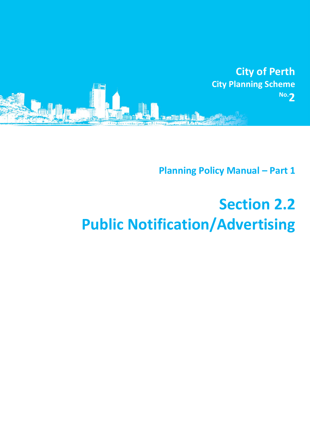

**Planning Policy Manual - Part 1** 

# **Section 2.2 Public Notification/Advertising**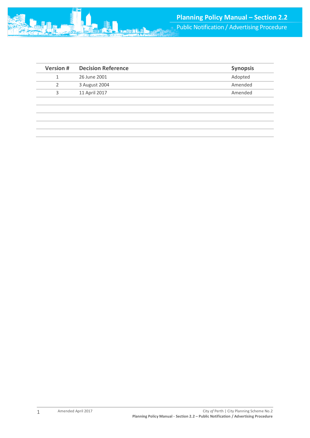| <b>Version #</b> | <b>Decision Reference</b> | <b>Synopsis</b> |
|------------------|---------------------------|-----------------|
|                  | 26 June 2001              | Adopted         |
|                  | 3 August 2004             | Amended         |
| 3                | 11 April 2017             | Amended         |
|                  |                           |                 |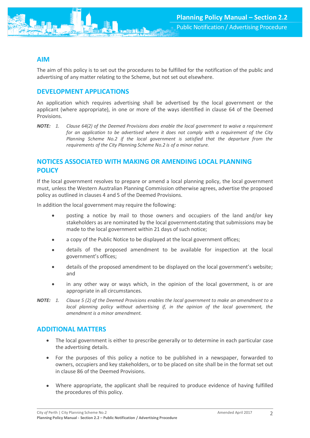## **AIM**

The aim of this policy is to set out the procedures to be fulfilled for the notification of the public and advertising of any matter relating to the Scheme, but not set out elsewhere.

### **DEVELOPMENT APPLICATIONS**

An application which requires advertising shall be advertised by the local government or the applicant (where appropriate), in one or more of the ways identified in clause 64 of the Deemed Provisions.

*NOTE: 1. Clause 64(2) of the Deemed Provisions does enable the local government to waive a requirement for an application to be advertised where it does not comply with a requirement of the City Planning Scheme No.2 if the local government is satisfied that the departure from the requirements of the City Planning Scheme No.2 is of a minor nature.*

## **NOTICES ASSOCIATED WITH MAKING OR AMENDING LOCAL PLANNING POLICY**

If the local government resolves to prepare or amend a local planning policy, the local government must, unless the Western Australian Planning Commission otherwise agrees, advertise the proposed policy as outlined in clauses 4 and 5 of the Deemed Provisions.

In addition the local government may require the following:

- posting a notice by mail to those owners and occupiers of the land and/or key stakeholders as are nominated by the local government stating that submissions may be made to the local government within 21 days of such notice;
- a copy of the Public Notice to be displayed at the local government offices;
- details of the proposed amendment to be available for inspection at the local government's offices;
- details of the proposed amendment to be displayed on the local government's website; and
- in any other way or ways which, in the opinion of the local government, is or are appropriate in all circumstances.
- *NOTE: 1. Clause 5 (2) of the Deemed Provisions enables the local government to make an amendment to a local planning policy without advertising if, in the opinion of the local government, the amendment is a minor amendment.*

#### **ADDITIONAL MATTERS**

- The local government is either to prescribe generally or to determine in each particular case the advertising details.
- For the purposes of this policy a notice to be published in a newspaper, forwarded to owners, occupiers and key stakeholders, or to be placed on site shall be in the format set out in clause 86 of the Deemed Provisions.
- Where appropriate, the applicant shall be required to produce evidence of having fulfilled the procedures of this policy.